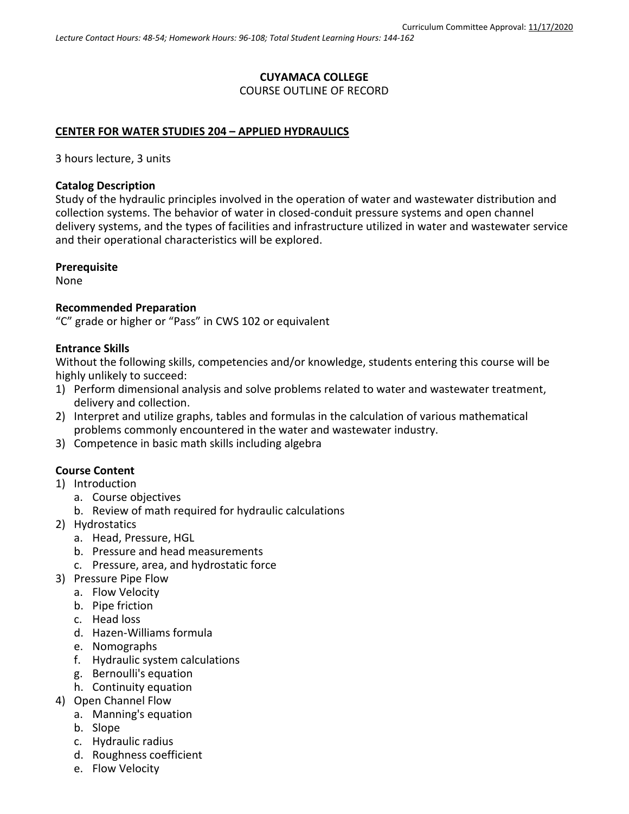# **CUYAMACA COLLEGE** COURSE OUTLINE OF RECORD

### **CENTER FOR WATER STUDIES 204 – APPLIED HYDRAULICS**

3 hours lecture, 3 units

### **Catalog Description**

Study of the hydraulic principles involved in the operation of water and wastewater distribution and collection systems. The behavior of water in closed-conduit pressure systems and open channel delivery systems, and the types of facilities and infrastructure utilized in water and wastewater service and their operational characteristics will be explored.

### **Prerequisite**

None

### **Recommended Preparation**

"C" grade or higher or "Pass" in CWS 102 or equivalent

### **Entrance Skills**

Without the following skills, competencies and/or knowledge, students entering this course will be highly unlikely to succeed:

- 1) Perform dimensional analysis and solve problems related to water and wastewater treatment, delivery and collection.
- 2) Interpret and utilize graphs, tables and formulas in the calculation of various mathematical problems commonly encountered in the water and wastewater industry.
- 3) Competence in basic math skills including algebra

### **Course Content**

- 1) Introduction
	- a. Course objectives
	- b. Review of math required for hydraulic calculations
- 2) Hydrostatics
	- a. Head, Pressure, HGL
	- b. Pressure and head measurements
	- c. Pressure, area, and hydrostatic force
- 3) Pressure Pipe Flow
	- a. Flow Velocity
	- b. Pipe friction
	- c. Head loss
	- d. Hazen-Williams formula
	- e. Nomographs
	- f. Hydraulic system calculations
	- g. Bernoulli's equation
	- h. Continuity equation
- 4) Open Channel Flow
	- a. Manning's equation
	- b. Slope
	- c. Hydraulic radius
	- d. Roughness coefficient
	- e. Flow Velocity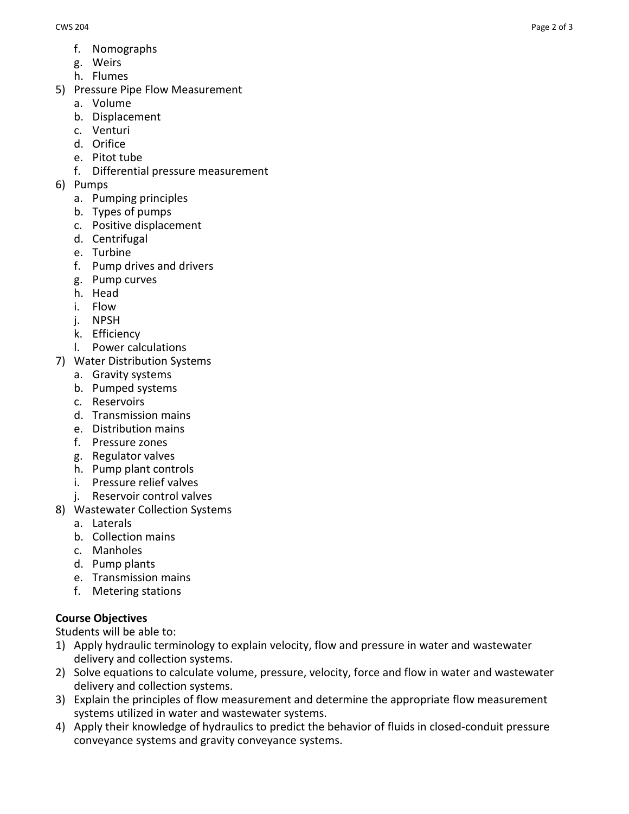- f. Nomographs
- g. Weirs
- h. Flumes
- 5) Pressure Pipe Flow Measurement
	- a. Volume
	- b. Displacement
	- c. Venturi
	- d. Orifice
	- e. Pitot tube
	- f. Differential pressure measurement
- 6) Pumps
	- a. Pumping principles
	- b. Types of pumps
	- c. Positive displacement
	- d. Centrifugal
	- e. Turbine
	- f. Pump drives and drivers
	- g. Pump curves
	- h. Head
	- i. Flow
	- j. NPSH
	- k. Efficiency
	- l. Power calculations
- 7) Water Distribution Systems
	- a. Gravity systems
	- b. Pumped systems
	- c. Reservoirs
	- d. Transmission mains
	- e. Distribution mains
	- f. Pressure zones
	- g. Regulator valves
	- h. Pump plant controls
	- i. Pressure relief valves
	- j. Reservoir control valves
- 8) Wastewater Collection Systems
	- a. Laterals
	- b. Collection mains
	- c. Manholes
	- d. Pump plants
	- e. Transmission mains
	- f. Metering stations

# **Course Objectives**

Students will be able to:

- 1) Apply hydraulic terminology to explain velocity, flow and pressure in water and wastewater delivery and collection systems.
- 2) Solve equations to calculate volume, pressure, velocity, force and flow in water and wastewater delivery and collection systems.
- 3) Explain the principles of flow measurement and determine the appropriate flow measurement systems utilized in water and wastewater systems.
- 4) Apply their knowledge of hydraulics to predict the behavior of fluids in closed-conduit pressure conveyance systems and gravity conveyance systems.